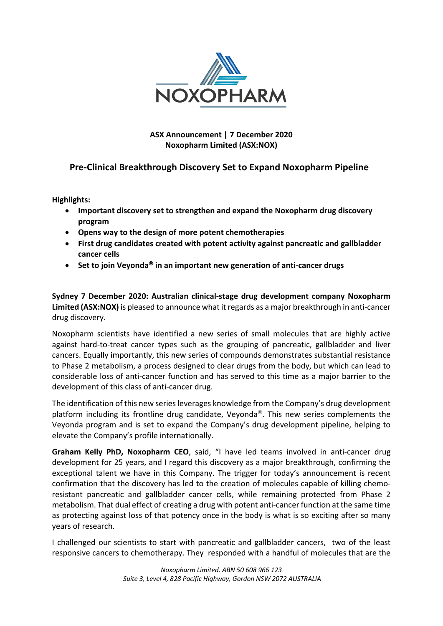

## **ASX Announcement | 7 December 2020 Noxopharm Limited (ASX:NOX)**

# **Pre‐Clinical Breakthrough Discovery Set to Expand Noxopharm Pipeline**

**Highlights:**

- **Important discovery set to strengthen and expand the Noxopharm drug discovery program**
- **Opens way to the design of more potent chemotherapies**
- **First drug candidates created with potent activity against pancreatic and gallbladder cancer cells**
- **Set to join Veyonda in an important new generation of anti‐cancer drugs**

**Sydney 7 December 2020: Australian clinical‐stage drug development company Noxopharm Limited (ASX:NOX)** is pleased to announce what it regards as a major breakthrough in anti‐cancer drug discovery.

Noxopharm scientists have identified a new series of small molecules that are highly active against hard-to-treat cancer types such as the grouping of pancreatic, gallbladder and liver cancers. Equally importantly, this new series of compounds demonstrates substantial resistance to Phase 2 metabolism, a process designed to clear drugs from the body, but which can lead to considerable loss of anti‐cancer function and has served to this time as a major barrier to the development of this class of anti-cancer drug.

The identification of this new series leverages knowledge from the Company's drug development platform including its frontline drug candidate, Veyonda<sup>®</sup>. This new series complements the Veyonda program and is set to expand the Company's drug development pipeline, helping to elevate the Company's profile internationally.

**Graham Kelly PhD, Noxopharm CEO**, said, "I have led teams involved in anti‐cancer drug development for 25 years, and I regard this discovery as a major breakthrough, confirming the exceptional talent we have in this Company. The trigger for today's announcement is recent confirmation that the discovery has led to the creation of molecules capable of killing chemoresistant pancreatic and gallbladder cancer cells, while remaining protected from Phase 2 metabolism. That dual effect of creating a drug with potent anti‐cancer function at the same time as protecting against loss of that potency once in the body is what is so exciting after so many years of research.

I challenged our scientists to start with pancreatic and gallbladder cancers, two of the least responsive cancers to chemotherapy. They responded with a handful of molecules that are the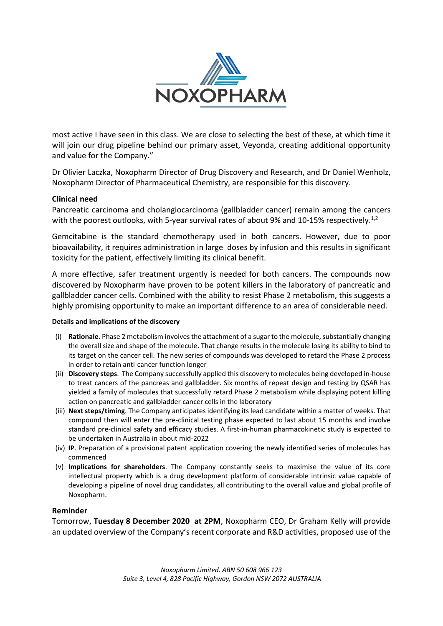

most active I have seen in this class. We are close to selecting the best of these, at which time it will join our drug pipeline behind our primary asset, Veyonda, creating additional opportunity and value for the Company."

Dr Olivier Laczka, Noxopharm Director of Drug Discovery and Research, and Dr Daniel Wenholz, Noxopharm Director of Pharmaceutical Chemistry, are responsible for this discovery.

### **Clinical need**

Pancreatic carcinoma and cholangiocarcinoma (gallbladder cancer) remain among the cancers with the poorest outlooks, with 5-year survival rates of about 9% and 10-15% respectively.<sup>1,2</sup>

Gemcitabine is the standard chemotherapy used in both cancers. However, due to poor bioavailability, it requires administration in large doses by infusion and this results in significant toxicity for the patient, effectively limiting its clinical benefit.

A more effective, safer treatment urgently is needed for both cancers. The compounds now discovered by Noxopharm have proven to be potent killers in the laboratory of pancreatic and gallbladder cancer cells. Combined with the ability to resist Phase 2 metabolism, this suggests a highly promising opportunity to make an important difference to an area of considerable need.

#### **Details and implications of the discovery**

- (i) **Rationale.** Phase 2 metabolism involves the attachment of a sugar to the molecule, substantially changing the overall size and shape of the molecule. That change results in the molecule losing its ability to bind to its target on the cancer cell. The new series of compounds was developed to retard the Phase 2 process in order to retain anti‐cancer function longer
- (ii) **Discovery steps**. The Company successfully applied this discovery to molecules being developed in‐house to treat cancers of the pancreas and gallbladder. Six months of repeat design and testing by QSAR has yielded a family of molecules that successfully retard Phase 2 metabolism while displaying potent killing action on pancreatic and gallbladder cancer cells in the laboratory
- (iii) **Next steps/timing**. The Company anticipates identifying its lead candidate within a matter of weeks. That compound then will enter the pre-clinical testing phase expected to last about 15 months and involve standard pre-clinical safety and efficacy studies. A first-in-human pharmacokinetic study is expected to be undertaken in Australia in about mid‐2022
- (iv) **IP**. Preparation of a provisional patent application covering the newly identified series of molecules has commenced
- (v) **Implications for shareholders**. The Company constantly seeks to maximise the value of its core intellectual property which is a drug development platform of considerable intrinsic value capable of developing a pipeline of novel drug candidates, all contributing to the overall value and global profile of Noxopharm.

### **Reminder**

Tomorrow, **Tuesday 8 December 2020 at 2PM**, Noxopharm CEO, Dr Graham Kelly will provide an updated overview of the Company's recent corporate and R&D activities, proposed use of the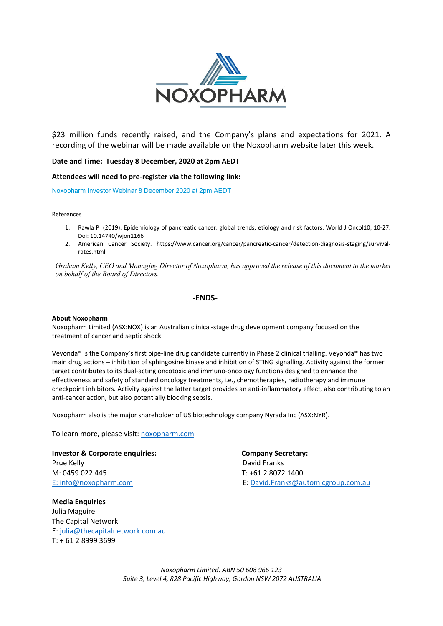

\$23 million funds recently raised, and the Company's plans and expectations for 2021. A recording of the webinar will be made available on the Noxopharm website later this week.

#### **Date and Time: Tuesday 8 December, 2020 at 2pm AEDT**

**Attendees will need to pre‐register via the following link:**

Noxopharm Investor Webinar 8 December 2020 at 2pm AEDT

References

- 1. Rawla P (2019). Epidemiology of pancreatic cancer: global trends, etiology and risk factors. World J Oncol10, 10‐27. Doi: 10.14740/wjon1166
- 2. American Cancer Society. https://www.cancer.org/cancer/pancreatic-cancer/detection-diagnosis-staging/survivalrates.html

*Graham Kelly, CEO and Managing Director of Noxopharm, has approved the release of this document to the market on behalf of the Board of Directors.*

### **‐ENDS‐**

#### **About Noxopharm**

Noxopharm Limited (ASX:NOX) is an Australian clinical‐stage drug development company focused on the treatment of cancer and septic shock.

Veyonda**®** is the Company's first pipe‐line drug candidate currently in Phase 2 clinical trialling. Veyonda**®** has two main drug actions – inhibition of sphingosine kinase and inhibition of STING signalling. Activity against the former target contributes to its dual‐acting oncotoxic and immuno‐oncology functions designed to enhance the effectiveness and safety of standard oncology treatments, i.e., chemotherapies, radiotherapy and immune checkpoint inhibitors. Activity against the latter target provides an anti-inflammatory effect, also contributing to an anti-cancer action, but also potentially blocking sepsis.

Noxopharm also is the major shareholder of US biotechnology company Nyrada Inc (ASX:NYR).

To learn more, please visit: noxopharm.com

**Investor & Corporate enquiries: Company Secretary:**  Prue Kelly **Brue Kelly Prue Kelly Prue Kelly David Franks** M: 0459 022 445 T: +61 2 8072 1400

**Media Enquiries**  Julia Maguire The Capital Network E: julia@thecapitalnetwork.com.au T: + 61 2 8999 3699

E: info@noxopharm.com **E:** info@noxopharm.com
B: David.Franks@automicgroup.com.au